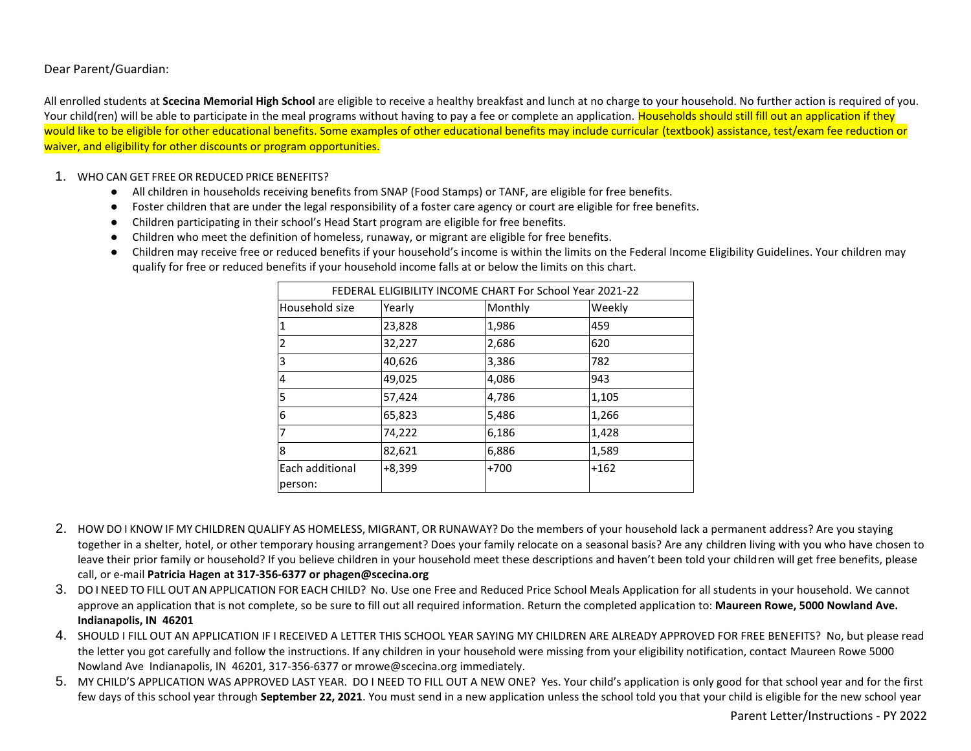Dear Parent/Guardian:

All enrolled students at **Scecina Memorial High School** are eligible to receive a healthy breakfast and lunch at no charge to your household. No further action is required of you. Your child(ren) will be able to participate in the meal programs without having to pay a fee or complete an application. Households should still fill out an application if they would like to be eligible for other educational benefits. Some examples of other educational benefits may include curricular (textbook) assistance, test/exam fee reduction or waiver, and eligibility for other discounts or program opportunities.

#### 1. WHO CAN GET FREE OR REDUCED PRICE BENEFITS?

- All children in households receiving benefits from SNAP (Food Stamps) or TANF, are eligible for free benefits.
- Foster children that are under the legal responsibility of a foster care agency or court are eligible for free benefits.
- Children participating in their school's Head Start program are eligible for free benefits.
- Children who meet the definition of homeless, runaway, or migrant are eligible for free benefits.
- Children may receive free or reduced benefits if your household's income is within the limits on the Federal Income Eligibility Guidelines. Your children may qualify for free or reduced benefits if your household income falls at or below the limits on this chart.

| FEDERAL ELIGIBILITY INCOME CHART For School Year 2021-22 |          |         |        |  |
|----------------------------------------------------------|----------|---------|--------|--|
| Household size                                           | Yearly   | Monthly | Weekly |  |
|                                                          | 23,828   | 1,986   | 459    |  |
| 2                                                        | 32,227   | 2,686   | 620    |  |
| 3                                                        | 40,626   | 3,386   | 782    |  |
| 4                                                        | 49,025   | 4,086   | 943    |  |
| 5                                                        | 57,424   | 4,786   | 1,105  |  |
| 6                                                        | 65,823   | 5,486   | 1,266  |  |
| 7                                                        | 74,222   | 6,186   | 1,428  |  |
| 8                                                        | 82,621   | 6,886   | 1,589  |  |
| Each additional                                          | $+8,399$ | $+700$  | $+162$ |  |
| person:                                                  |          |         |        |  |

- 2. HOW DO I KNOW IF MY CHILDREN QUALIFY AS HOMELESS, MIGRANT, OR RUNAWAY? Do the members of your household lack a permanent address? Are you staying together in a shelter, hotel, or other temporary housing arrangement? Does your family relocate on a seasonal basis? Are any children living with you who have chosen to leave their prior family or household? If you believe children in your household meet these descriptions and haven't been told your children will get free benefits, please call, or e-mail **Patricia Hagen at 317-356-6377 or phagen@scecina.org**
- 3. DO I NEED TO FILL OUT AN APPLICATION FOR EACH CHILD? No. Use one Free and Reduced Price School Meals Application for all students in your household. We cannot approve an application that is not complete, so be sure to fill out all required information. Return the completed application to: **Maureen Rowe, 5000 Nowland Ave. Indianapolis, IN 46201**
- 4. SHOULD I FILL OUT AN APPLICATION IF I RECEIVED A LETTER THIS SCHOOL YEAR SAYING MY CHILDREN ARE ALREADY APPROVED FOR FREE BENEFITS? No, but please read the letter you got carefully and follow the instructions. If any children in your household were missing from your eligibility notification, contact Maureen Rowe 5000 Nowland Ave Indianapolis, IN 46201, 317-356-6377 or mrowe@scecina.org immediately.
- 5. MY CHILD'S APPLICATION WAS APPROVED LAST YEAR. DO I NEED TO FILL OUT A NEW ONE? Yes. Your child's application is only good for that school year and for the first few days of this school year through **September 22, 2021**. You must send in a new application unless the school told you that your child is eligible for the new school year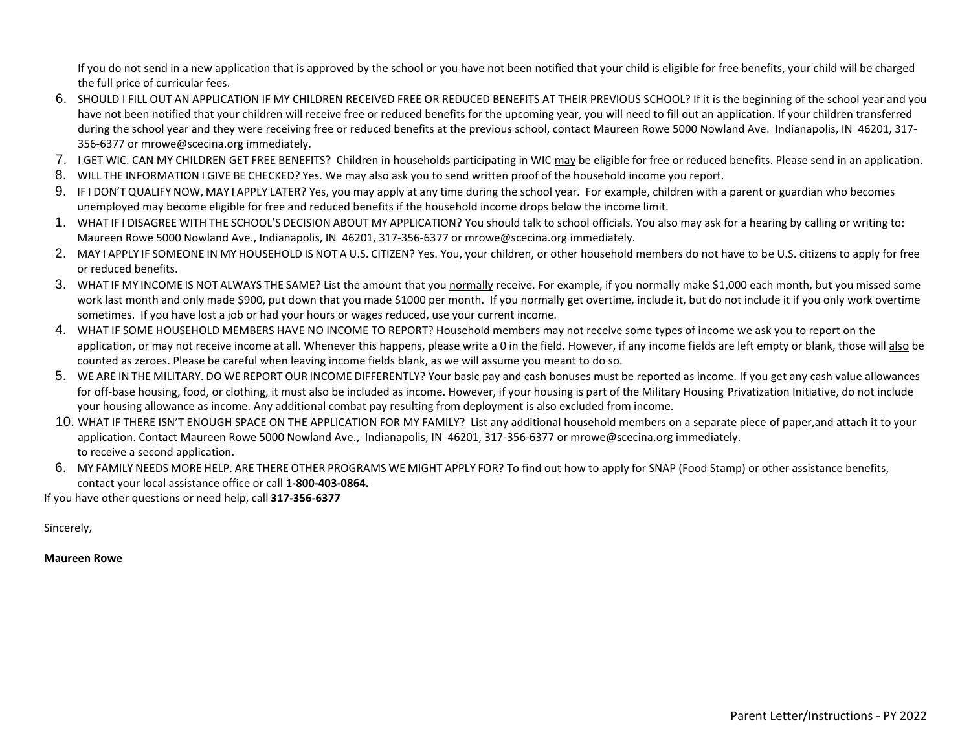If you do not send in a new application that is approved by the school or you have not been notified that your child is eligible for free benefits, your child will be charged the full price of curricular fees.

- 6. SHOULD I FILL OUT AN APPLICATION IF MY CHILDREN RECEIVED FREE OR REDUCED BENEFITS AT THEIR PREVIOUS SCHOOL? If it is the beginning of the school year and you have not been notified that your children will receive free or reduced benefits for the upcoming year, you will need to fill out an application. If your children transferred during the school year and they were receiving free or reduced benefits at the previous school, contact Maureen Rowe 5000 Nowland Ave. Indianapolis, IN 46201, 317-356-6377 or mrowe@scecina.org immediately.
- 7. I GET WIC. CAN MY CHILDREN GET FREE BENEFITS? Children in households participating in WIC may be eligible for free or reduced benefits. Please send in an application.
- 8. WILL THE INFORMATION I GIVE BE CHECKED? Yes. We may also ask you to send written proof of the household income you report.
- 9. IF I DON'T QUALIFY NOW, MAY I APPLY LATER? Yes, you may apply at any time during the school year. For example, children with a parent or guardian who becomes unemployed may become eligible for free and reduced benefits if the household income drops below the income limit.
- 1. WHAT IF I DISAGREE WITH THE SCHOOL'S DECISION ABOUT MY APPLICATION? You should talk to school officials. You also may ask for a hearing by calling or writing to: Maureen Rowe 5000 Nowland Ave., Indianapolis, IN 46201, 317-356-6377 or mrowe@scecina.org immediately.
- 2. MAY I APPLY IF SOMEONE IN MY HOUSEHOLD IS NOT A U.S. CITIZEN? Yes. You, your children, or other household members do not have to be U.S. citizens to apply for free or reduced benefits.
- 3. WHAT IF MY INCOME IS NOT ALWAYS THE SAME? List the amount that you normally receive. For example, if you normally make \$1,000 each month, but you missed some work last month and only made \$900, put down that you made \$1000 per month. If you normally get overtime, include it, but do not include it if you only work overtime sometimes. If you have lost a job or had your hours or wages reduced, use your current income.
- 4. WHAT IF SOME HOUSEHOLD MEMBERS HAVE NO INCOME TO REPORT? Household members may not receive some types of income we ask you to report on the application, or may not receive income at all. Whenever this happens, please write a 0 in the field. However, if any income fields are left empty or blank, those will also be counted as zeroes. Please be careful when leaving income fields blank, as we will assume you meant to do so.
- 5. WE ARE IN THE MILITARY. DO WE REPORT OUR INCOME DIFFERENTLY? Your basic pay and cash bonuses must be reported as income. If you get any cash value allowances for off-base housing, food, or clothing, it must also be included as income. However, if your housing is part of the Military Housing Privatization Initiative, do not include your housing allowance as income. Any additional combat pay resulting from deployment is also excluded from income.
- 10. WHAT IF THERE ISN'T ENOUGH SPACE ON THE APPLICATION FOR MY FAMILY? List any additional household members on a separate piece of paper,and attach it to your application. Contact Maureen Rowe 5000 Nowland Ave., Indianapolis, IN 46201, 317-356-6377 or mrowe@scecina.org immediately. to receive a second application.
- 6. MY FAMILY NEEDS MORE HELP. ARE THERE OTHER PROGRAMS WE MIGHT APPLY FOR? To find out how to apply for SNAP (Food Stamp) or other assistance benefits, contact your local assistance office or call **1-800-403-0864.**

If you have other questions or need help, call **317-356-6377**

Sincerely,

**Maureen Rowe**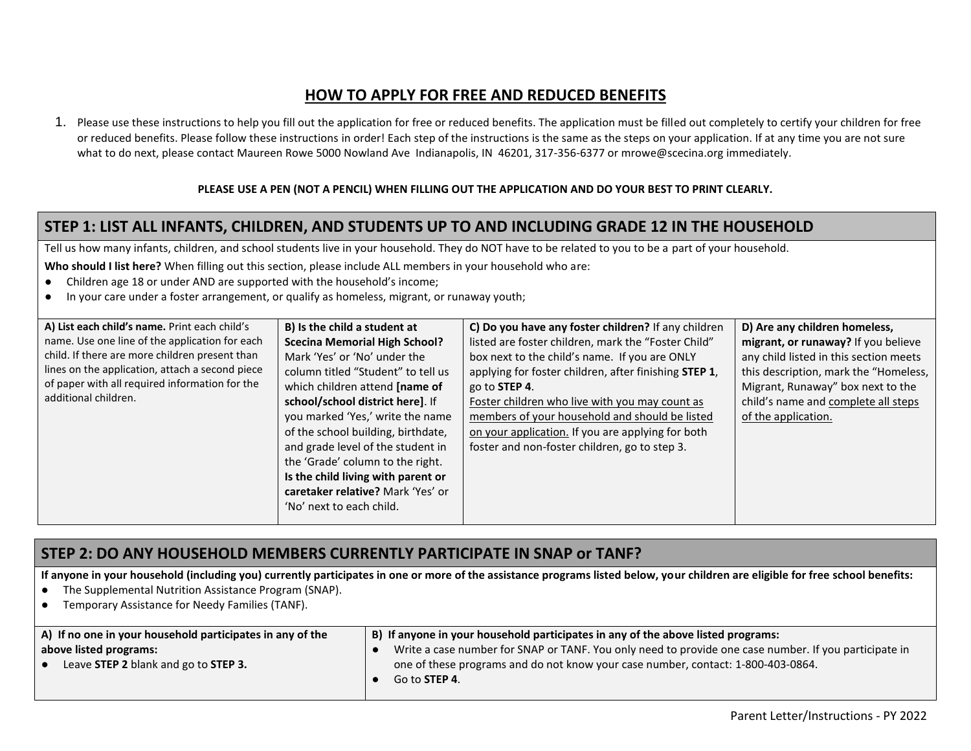# **HOW TO APPLY FOR FREE AND REDUCED BENEFITS**

1. Please use these instructions to help you fill out the application for free or reduced benefits. The application must be filled out completely to certify your children for free or reduced benefits. Please follow these instructions in order! Each step of the instructions is the same as the steps on your application. If at any time you are not sure what to do next, please contact Maureen Rowe 5000 Nowland Ave Indianapolis, IN 46201, 317-356-6377 or mrowe@scecina.org immediately.

#### **PLEASE USE A PEN (NOT A PENCIL) WHEN FILLING OUT THE APPLICATION AND DO YOUR BEST TO PRINT CLEARLY.**

### **STEP 1: LIST ALL INFANTS, CHILDREN, AND STUDENTS UP TO AND INCLUDING GRADE 12 IN THE HOUSEHOLD**

Tell us how many infants, children, and school students live in your household. They do NOT have to be related to you to be a part of your household.

**Who should I list here?** When filling out this section, please include ALL members in your household who are:

- Children age 18 or under AND are supported with the household's income;
- In your care under a foster arrangement, or qualify as homeless, migrant, or runaway youth;

| A) List each child's name. Print each child's   | B) Is the child a student at         | C) Do you have any foster children? If any children           | D) Are any children homeless,          |
|-------------------------------------------------|--------------------------------------|---------------------------------------------------------------|----------------------------------------|
| name. Use one line of the application for each  | <b>Scecina Memorial High School?</b> | listed are foster children, mark the "Foster Child"           | migrant, or runaway? If you believe    |
| child. If there are more children present than  | Mark 'Yes' or 'No' under the         | box next to the child's name. If you are ONLY                 | any child listed in this section meets |
| lines on the application, attach a second piece | column titled "Student" to tell us   | applying for foster children, after finishing <b>STEP 1</b> , | this description, mark the "Homeless,  |
| of paper with all required information for the  | which children attend [name of       | go to STEP 4.                                                 | Migrant, Runaway" box next to the      |
| additional children.                            | school/school district here]. If     | Foster children who live with you may count as                | child's name and complete all steps    |
|                                                 | you marked 'Yes,' write the name     | members of your household and should be listed                | of the application.                    |
|                                                 | of the school building, birthdate,   | on your application. If you are applying for both             |                                        |
|                                                 | and grade level of the student in    | foster and non-foster children, go to step 3.                 |                                        |
|                                                 | the 'Grade' column to the right.     |                                                               |                                        |
|                                                 | Is the child living with parent or   |                                                               |                                        |
|                                                 | caretaker relative? Mark 'Yes' or    |                                                               |                                        |
|                                                 | 'No' next to each child.             |                                                               |                                        |
|                                                 |                                      |                                                               |                                        |

# **STEP 2: DO ANY HOUSEHOLD MEMBERS CURRENTLY PARTICIPATE IN SNAP or TANF?**

**If anyone in your household (including you) currently participates in one or more of the assistance programs listed below, your children are eligible for free school benefits:**

- The Supplemental Nutrition Assistance Program (SNAP).
- Temporary Assistance for Needy Families (TANF).

| A) If no one in your household participates in any of the | B) If anyone in your household participates in any of the above listed programs:                      |
|-----------------------------------------------------------|-------------------------------------------------------------------------------------------------------|
| above listed programs:                                    | Write a case number for SNAP or TANF. You only need to provide one case number. If you participate in |
| Leave STEP 2 blank and go to STEP 3.                      | one of these programs and do not know your case number, contact: 1-800-403-0864.                      |
|                                                           | Go to <b>STEP 4</b> .                                                                                 |
|                                                           |                                                                                                       |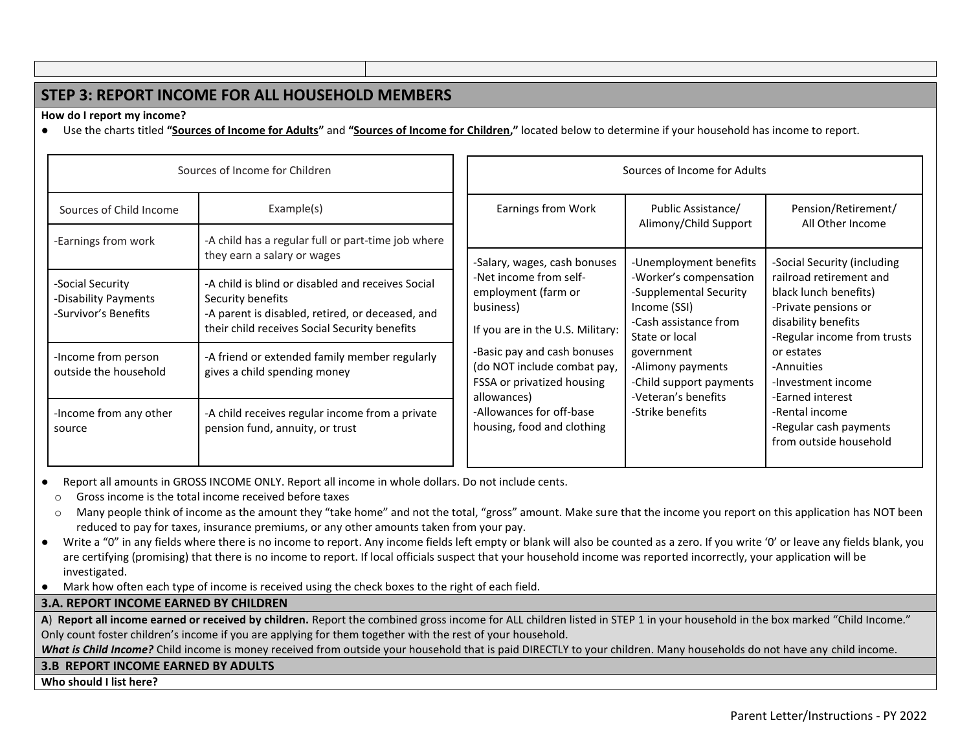# **STEP 3: REPORT INCOME FOR ALL HOUSEHOLD MEMBERS**

**How do I report my income?** 

● Use the charts titled **"Sources of Income for Adults"** and **"Sources of Income for Children,"** located below to determine if your household has income to report.

| Sources of Income for Children                                   |                                                                                                                                                                             |  | Sources of Income for Adults                                                                   |                                                                                                             |                                                                                                                                |                                                                    |
|------------------------------------------------------------------|-----------------------------------------------------------------------------------------------------------------------------------------------------------------------------|--|------------------------------------------------------------------------------------------------|-------------------------------------------------------------------------------------------------------------|--------------------------------------------------------------------------------------------------------------------------------|--------------------------------------------------------------------|
| Sources of Child Income<br>-Earnings from work                   | Example(s)<br>-A child has a regular full or part-time job where                                                                                                            |  | Earnings from Work                                                                             | Public Assistance/<br>Alimony/Child Support                                                                 | Pension/Retirement/<br>All Other Income                                                                                        |                                                                    |
|                                                                  | they earn a salary or wages                                                                                                                                                 |  | -Salary, wages, cash bonuses                                                                   | -Unemployment benefits                                                                                      | -Social Security (including                                                                                                    |                                                                    |
| -Social Security<br>-Disability Payments<br>-Survivor's Benefits | -A child is blind or disabled and receives Social<br>Security benefits<br>-A parent is disabled, retired, or deceased, and<br>their child receives Social Security benefits |  | -Net income from self-<br>employment (farm or<br>business)<br>If you are in the U.S. Military: | -Worker's compensation<br>-Supplemental Security<br>Income (SSI)<br>-Cash assistance from<br>State or local | railroad retirement and<br>black lunch benefits)<br>-Private pensions or<br>disability benefits<br>-Regular income from trusts |                                                                    |
| -Income from person<br>outside the household                     | -A friend or extended family member regularly<br>gives a child spending money                                                                                               |  | -Basic pay and cash bonuses<br>(do NOT include combat pay,<br>FSSA or privatized housing       |                                                                                                             | government<br>-Alimony payments<br>-Child support payments<br>-Veteran's benefits<br>allowances)                               | or estates<br>-Annuities<br>-Investment income<br>-Earned interest |
| -Income from any other<br>source                                 | -A child receives regular income from a private<br>pension fund, annuity, or trust                                                                                          |  | -Allowances for off-base<br>housing, food and clothing                                         | -Strike benefits                                                                                            | -Rental income<br>-Regular cash payments<br>from outside household                                                             |                                                                    |

Report all amounts in GROSS INCOME ONLY. Report all income in whole dollars. Do not include cents.

o Gross income is the total income received before taxes

o Many people think of income as the amount they "take home" and not the total, "gross" amount. Make sure that the income you report on this application has NOT been reduced to pay for taxes, insurance premiums, or any other amounts taken from your pay.

- Write a "0" in any fields where there is no income to report. Any income fields left empty or blank will also be counted as a zero. If you write '0' or leave any fields blank, you are certifying (promising) that there is no income to report. If local officials suspect that your household income was reported incorrectly, your application will be investigated.
- Mark how often each type of income is received using the check boxes to the right of each field.

#### **3.A. REPORT INCOME EARNED BY CHILDREN**

**A**) **Report all income earned or received by children.** Report the combined gross income for ALL children listed in STEP 1 in your household in the box marked "Child Income." Only count foster children's income if you are applying for them together with the rest of your household.

What is Child Income? Child income is money received from outside your household that is paid DIRECTLY to your children. Many households do not have any child income.

#### **3.B REPORT INCOME EARNED BY ADULTS**

**Who should I list here?**